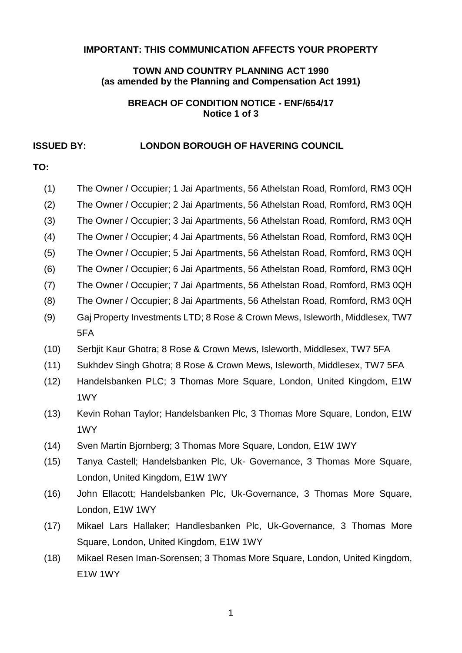#### **IMPORTANT: THIS COMMUNICATION AFFECTS YOUR PROPERTY**

### **TOWN AND COUNTRY PLANNING ACT 1990 (as amended by the Planning and Compensation Act 1991)**

#### **BREACH OF CONDITION NOTICE - ENF/654/17 Notice 1 of 3**

### **ISSUED BY: LONDON BOROUGH OF HAVERING COUNCIL**

# **TO:**

| (1)  | The Owner / Occupier; 1 Jai Apartments, 56 Athelstan Road, Romford, RM3 0QH  |  |
|------|------------------------------------------------------------------------------|--|
| (2)  | The Owner / Occupier; 2 Jai Apartments, 56 Athelstan Road, Romford, RM3 0QH  |  |
| (3)  | The Owner / Occupier; 3 Jai Apartments, 56 Athelstan Road, Romford, RM3 0QH  |  |
| (4)  | The Owner / Occupier; 4 Jai Apartments, 56 Athelstan Road, Romford, RM3 0QH  |  |
| (5)  | The Owner / Occupier; 5 Jai Apartments, 56 Athelstan Road, Romford, RM3 0QH  |  |
| (6)  | The Owner / Occupier; 6 Jai Apartments, 56 Athelstan Road, Romford, RM3 0QH  |  |
| (7)  | The Owner / Occupier; 7 Jai Apartments, 56 Athelstan Road, Romford, RM3 0QH  |  |
| (8)  | The Owner / Occupier; 8 Jai Apartments, 56 Athelstan Road, Romford, RM3 0QH  |  |
| (9)  | Gaj Property Investments LTD; 8 Rose & Crown Mews, Isleworth, Middlesex, TW7 |  |
|      | 5FA                                                                          |  |
| (10) | Serbjit Kaur Ghotra; 8 Rose & Crown Mews, Isleworth, Middlesex, TW7 5FA      |  |
| (11) | Sukhdev Singh Ghotra; 8 Rose & Crown Mews, Isleworth, Middlesex, TW7 5FA     |  |
| (12) | Handelsbanken PLC; 3 Thomas More Square, London, United Kingdom, E1W         |  |
|      | 1WY                                                                          |  |
| (13) | Kevin Rohan Taylor; Handelsbanken Plc, 3 Thomas More Square, London, E1W     |  |
|      | 1WY                                                                          |  |

- (14) Sven Martin Bjornberg; 3 Thomas More Square, London, E1W 1WY
- (15) Tanya Castell; Handelsbanken Plc, Uk- Governance, 3 Thomas More Square, London, United Kingdom, E1W 1WY
- (16) John Ellacott; Handelsbanken Plc, Uk-Governance, 3 Thomas More Square, London, E1W 1WY
- (17) Mikael Lars Hallaker; Handlesbanken Plc, Uk-Governance, 3 Thomas More Square, London, United Kingdom, E1W 1WY
- (18) Mikael Resen Iman-Sorensen; 3 Thomas More Square, London, United Kingdom, E1W 1WY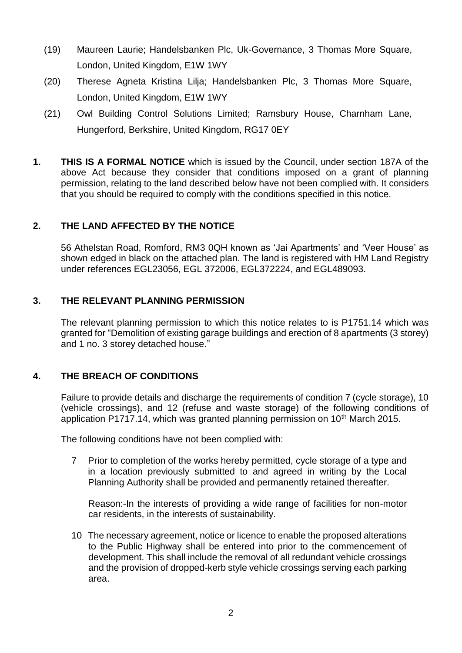- (19) Maureen Laurie; Handelsbanken Plc, Uk-Governance, 3 Thomas More Square, London, United Kingdom, E1W 1WY
- (20) Therese Agneta Kristina Lilja; Handelsbanken Plc, 3 Thomas More Square, London, United Kingdom, E1W 1WY
- (21) Owl Building Control Solutions Limited; Ramsbury House, Charnham Lane, Hungerford, Berkshire, United Kingdom, RG17 0EY
- **1. THIS IS A FORMAL NOTICE** which is issued by the Council, under section 187A of the above Act because they consider that conditions imposed on a grant of planning permission, relating to the land described below have not been complied with. It considers that you should be required to comply with the conditions specified in this notice.

# **2. THE LAND AFFECTED BY THE NOTICE**

 56 Athelstan Road, Romford, RM3 0QH known as 'Jai Apartments' and 'Veer House' as shown edged in black on the attached plan. The land is registered with HM Land Registry under references EGL23056, EGL 372006, EGL372224, and EGL489093.

## **3. THE RELEVANT PLANNING PERMISSION**

 The relevant planning permission to which this notice relates to is P1751.14 which was granted for "Demolition of existing garage buildings and erection of 8 apartments (3 storey) and 1 no. 3 storey detached house."

## **4. THE BREACH OF CONDITIONS**

 Failure to provide details and discharge the requirements of condition 7 (cycle storage), 10 (vehicle crossings), and 12 (refuse and waste storage) of the following conditions of application P1717.14, which was granted planning permission on 10<sup>th</sup> March 2015.

The following conditions have not been complied with:

 7 Prior to completion of the works hereby permitted, cycle storage of a type and in a location previously submitted to and agreed in writing by the Local Planning Authority shall be provided and permanently retained thereafter.

 Reason:-In the interests of providing a wide range of facilities for non-motor car residents, in the interests of sustainability.

 10 The necessary agreement, notice or licence to enable the proposed alterations to the Public Highway shall be entered into prior to the commencement of development. This shall include the removal of all redundant vehicle crossings and the provision of dropped-kerb style vehicle crossings serving each parking area.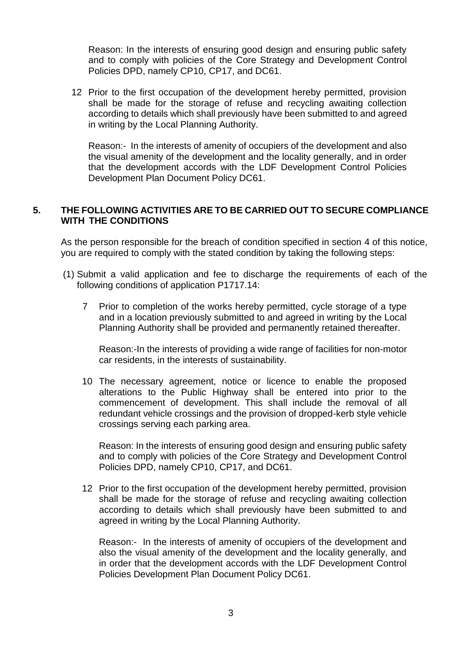Reason: In the interests of ensuring good design and ensuring public safety and to comply with policies of the Core Strategy and Development Control Policies DPD, namely CP10, CP17, and DC61.

 12 Prior to the first occupation of the development hereby permitted, provision shall be made for the storage of refuse and recycling awaiting collection according to details which shall previously have been submitted to and agreed in writing by the Local Planning Authority.

 Reason:- In the interests of amenity of occupiers of the development and also the visual amenity of the development and the locality generally, and in order that the development accords with the LDF Development Control Policies Development Plan Document Policy DC61.

### **5. THE FOLLOWING ACTIVITIES ARE TO BE CARRIED OUT TO SECURE COMPLIANCE WITH THE CONDITIONS**

 As the person responsible for the breach of condition specified in section 4 of this notice, you are required to comply with the stated condition by taking the following steps:

- (1) Submit a valid application and fee to discharge the requirements of each of the following conditions of application P1717.14:
	- 7 Prior to completion of the works hereby permitted, cycle storage of a type and in a location previously submitted to and agreed in writing by the Local Planning Authority shall be provided and permanently retained thereafter.

 Reason:-In the interests of providing a wide range of facilities for non-motor car residents, in the interests of sustainability.

 10 The necessary agreement, notice or licence to enable the proposed alterations to the Public Highway shall be entered into prior to the commencement of development. This shall include the removal of all redundant vehicle crossings and the provision of dropped-kerb style vehicle crossings serving each parking area.

 Reason: In the interests of ensuring good design and ensuring public safety and to comply with policies of the Core Strategy and Development Control Policies DPD, namely CP10, CP17, and DC61.

 12 Prior to the first occupation of the development hereby permitted, provision shall be made for the storage of refuse and recycling awaiting collection according to details which shall previously have been submitted to and agreed in writing by the Local Planning Authority.

 Reason:- In the interests of amenity of occupiers of the development and also the visual amenity of the development and the locality generally, and in order that the development accords with the LDF Development Control Policies Development Plan Document Policy DC61.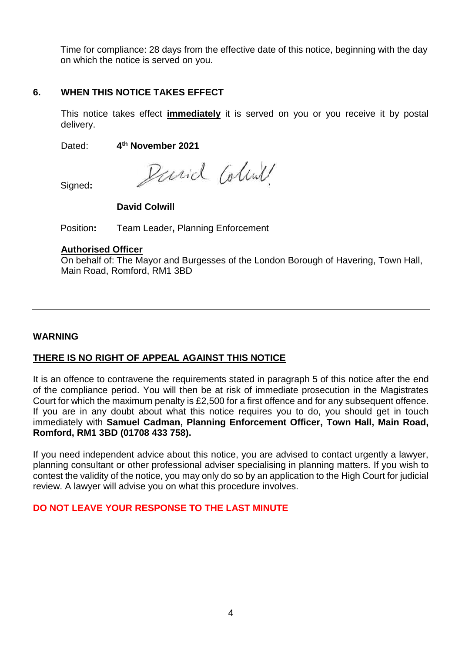Time for compliance: 28 days from the effective date of this notice, beginning with the day on which the notice is served on you.

## **6. WHEN THIS NOTICE TAKES EFFECT**

 This notice takes effect **immediately** it is served on you or you receive it by postal delivery.

Dated: **4th November 2021** 

Parid Coline

Signed**:** 

## **David Colwill**

Position**:** Team Leader**,** Planning Enforcement

### **Authorised Officer**

On behalf of: The Mayor and Burgesses of the London Borough of Havering, Town Hall, Main Road, Romford, RM1 3BD

### **WARNING**

## **THERE IS NO RIGHT OF APPEAL AGAINST THIS NOTICE**

 It is an offence to contravene the requirements stated in paragraph 5 of this notice after the end of the compliance period. You will then be at risk of immediate prosecution in the Magistrates Court for which the maximum penalty is £2,500 for a first offence and for any subsequent offence. If you are in any doubt about what this notice requires you to do, you should get in touch immediately with **Samuel Cadman, Planning Enforcement Officer, Town Hall, Main Road, Romford, RM1 3BD (01708 433 758).** 

 If you need independent advice about this notice, you are advised to contact urgently a lawyer, planning consultant or other professional adviser specialising in planning matters. If you wish to contest the validity of the notice, you may only do so by an application to the High Court for judicial review. A lawyer will advise you on what this procedure involves.

## **DO NOT LEAVE YOUR RESPONSE TO THE LAST MINUTE**